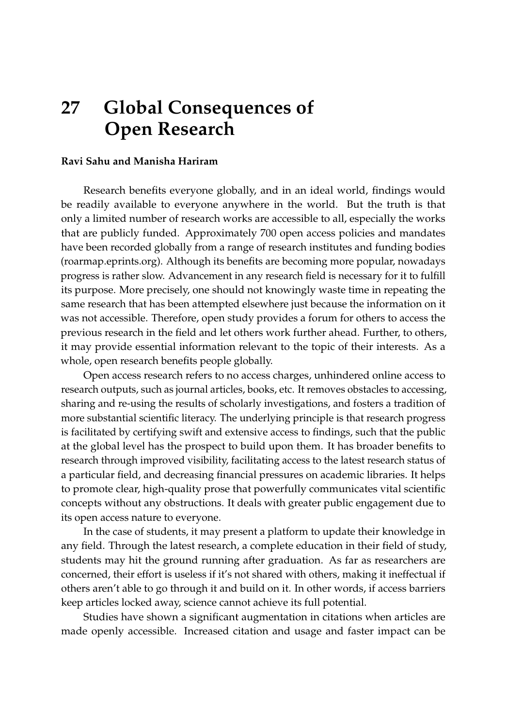## **27 Global Consequences of Open Research**

## **Ravi Sahu and Manisha Hariram**

Research benefits everyone globally, and in an ideal world, findings would be readily available to everyone anywhere in the world. But the truth is that only a limited number of research works are accessible to all, especially the works that are publicly funded. Approximately 700 open access policies and mandates have been recorded globally from a range of research institutes and funding bodies (roarmap.eprints.org). Although its benefits are becoming more popular, nowadays progress is rather slow. Advancement in any research field is necessary for it to fulfill its purpose. More precisely, one should not knowingly waste time in repeating the same research that has been attempted elsewhere just because the information on it was not accessible. Therefore, open study provides a forum for others to access the previous research in the field and let others work further ahead. Further, to others, it may provide essential information relevant to the topic of their interests. As a whole, open research benefits people globally.

Open access research refers to no access charges, unhindered online access to research outputs, such as journal articles, books, etc. It removes obstacles to accessing, sharing and re-using the results of scholarly investigations, and fosters a tradition of more substantial scientific literacy. The underlying principle is that research progress is facilitated by certifying swift and extensive access to findings, such that the public at the global level has the prospect to build upon them. It has broader benefits to research through improved visibility, facilitating access to the latest research status of a particular field, and decreasing financial pressures on academic libraries. It helps to promote clear, high-quality prose that powerfully communicates vital scientific concepts without any obstructions. It deals with greater public engagement due to its open access nature to everyone.

In the case of students, it may present a platform to update their knowledge in any field. Through the latest research, a complete education in their field of study, students may hit the ground running after graduation. As far as researchers are concerned, their effort is useless if it's not shared with others, making it ineffectual if others aren't able to go through it and build on it. In other words, if access barriers keep articles locked away, science cannot achieve its full potential.

Studies have shown a significant augmentation in citations when articles are made openly accessible. Increased citation and usage and faster impact can be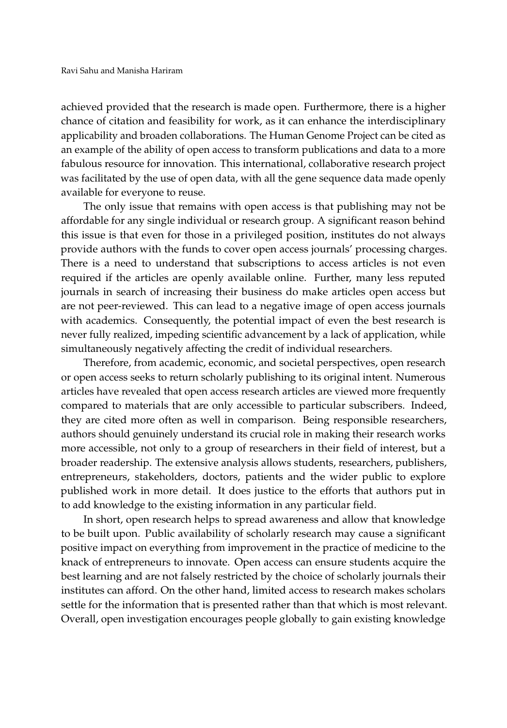achieved provided that the research is made open. Furthermore, there is a higher chance of citation and feasibility for work, as it can enhance the interdisciplinary applicability and broaden collaborations. The Human Genome Project can be cited as an example of the ability of open access to transform publications and data to a more fabulous resource for innovation. This international, collaborative research project was facilitated by the use of open data, with all the gene sequence data made openly available for everyone to reuse.

The only issue that remains with open access is that publishing may not be affordable for any single individual or research group. A significant reason behind this issue is that even for those in a privileged position, institutes do not always provide authors with the funds to cover open access journals' processing charges. There is a need to understand that subscriptions to access articles is not even required if the articles are openly available online. Further, many less reputed journals in search of increasing their business do make articles open access but are not peer-reviewed. This can lead to a negative image of open access journals with academics. Consequently, the potential impact of even the best research is never fully realized, impeding scientific advancement by a lack of application, while simultaneously negatively affecting the credit of individual researchers.

Therefore, from academic, economic, and societal perspectives, open research or open access seeks to return scholarly publishing to its original intent. Numerous articles have revealed that open access research articles are viewed more frequently compared to materials that are only accessible to particular subscribers. Indeed, they are cited more often as well in comparison. Being responsible researchers, authors should genuinely understand its crucial role in making their research works more accessible, not only to a group of researchers in their field of interest, but a broader readership. The extensive analysis allows students, researchers, publishers, entrepreneurs, stakeholders, doctors, patients and the wider public to explore published work in more detail. It does justice to the efforts that authors put in to add knowledge to the existing information in any particular field.

In short, open research helps to spread awareness and allow that knowledge to be built upon. Public availability of scholarly research may cause a significant positive impact on everything from improvement in the practice of medicine to the knack of entrepreneurs to innovate. Open access can ensure students acquire the best learning and are not falsely restricted by the choice of scholarly journals their institutes can afford. On the other hand, limited access to research makes scholars settle for the information that is presented rather than that which is most relevant. Overall, open investigation encourages people globally to gain existing knowledge